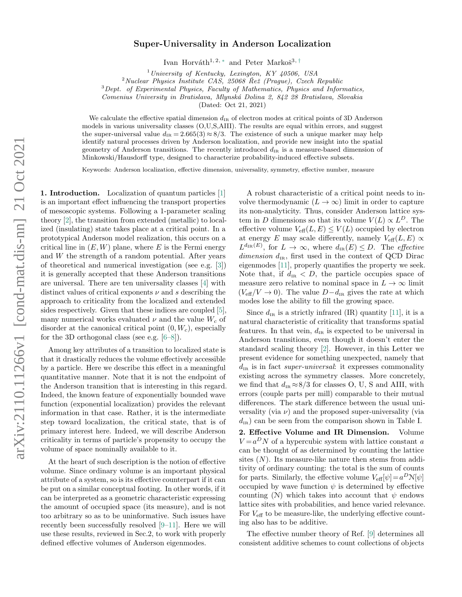## Super-Universality in Anderson Localization

Ivan Horváth<sup>1, 2, [∗](#page-3-0)</sup> and Peter Markoš<sup>3, [†](#page-3-1)</sup>

 $1$ University of Kentucky, Lexington, KY 40506, USA

 $2$ Nuclear Physics Institute CAS, 25068 Rež (Prague), Czech Republic

 $3$  Dept. of Experimental Physics, Faculty of Mathematics, Physics and Informatics,

Comenius University in Bratislava, Mlynsk´a Dolina 2, 842 28 Bratislava, Slovakia

(Dated: Oct 21, 2021)

We calculate the effective spatial dimension  $d_{IR}$  of electron modes at critical points of 3D Anderson models in various universality classes (O,U,S,AIII). The results are equal within errors, and suggest the super-universal value  $d_{IR} = 2.665(3) \approx 8/3$ . The existence of such a unique marker may help identify natural processes driven by Anderson localization, and provide new insight into the spatial geometry of Anderson transitions. The recently introduced  $d_{IR}$  is a measure-based dimension of Minkowski/Hausdorff type, designed to characterize probability-induced effective subsets.

Keywords: Anderson localization, effective dimension, universality, symmetry, effective number, measure

1. Introduction. Localization of quantum particles [\[1\]](#page-3-2) is an important effect influencing the transport properties of mesoscopic systems. Following a 1-parameter scaling theory [\[2\]](#page-3-3), the transition from extended (metallic) to localized (insulating) state takes place at a critical point. In a prototypical Anderson model realization, this occurs on a critical line in  $(E, W)$  plane, where E is the Fermi energy and  $W$  the strength of a random potential. After years of theoretical and numerical investigation (see e.g. [\[3\]](#page-3-4)) it is generally accepted that these Anderson transitions are universal. There are ten universality classes [\[4\]](#page-3-5) with distinct values of critical exponents  $\nu$  and s describing the approach to criticality from the localized and extended sides respectively. Given that these indices are coupled [\[5\]](#page-3-6), many numerical works evaluated  $\nu$  and the value  $W_c$  of disorder at the canonical critical point  $(0, W_c)$ , especially for the 3D orthogonal class (see e.g. [\[6–](#page-3-7)[8\]](#page-3-8)).

Among key attributes of a transition to localized state is that it drastically reduces the volume effectively accessible by a particle. Here we describe this effect in a meaningful quantitative manner. Note that it is not the endpoint of the Anderson transition that is interesting in this regard. Indeed, the known feature of exponentially bounded wave function (exponential localization) provides the relevant information in that case. Rather, it is the intermediate step toward localization, the critical state, that is of primary interest here. Indeed, we will describe Anderson criticality in terms of particle's propensity to occupy the volume of space nominally available to it.

At the heart of such description is the notion of effective volume. Since ordinary volume is an important physical attribute of a system, so is its effective counterpart if it can be put on a similar conceptual footing. In other words, if it can be interpreted as a geometric characteristic expressing the amount of occupied space (its measure), and is not too arbitrary so as to be uninformative. Such issues have recently been successfully resolved [\[9](#page-3-9)[–11\]](#page-3-10). Here we will use these results, reviewed in Sec.2, to work with properly defined effective volumes of Anderson eigenmodes.

A robust characteristic of a critical point needs to involve thermodynamic  $(L \to \infty)$  limit in order to capture its non-analyticity. Thus, consider Anderson lattice system in D dimensions so that its volume  $V(L) \propto L^D$ . The effective volume  $V_{\text{eff}}(L, E) \leq V(L)$  occupied by electron at energy E may scale differently, namely  $V_{\text{eff}}(L, E) \propto$  $L^{d_{\text{IR}}(E)}$ , for  $L \to \infty$ , where  $d_{\text{IR}}(E) \leq D$ . The *effective* dimension  $d_{IR}$ , first used in the context of QCD Dirac eigenmodes [\[11\]](#page-3-10), properly quantifies the property we seek. Note that, if  $d_{IR} < D$ , the particle occupies space of measure zero relative to nominal space in  $L \to \infty$  limit  $(V_{\text{eff}}/V \rightarrow 0)$ . The value  $D - d_{IR}$  gives the rate at which modes lose the ability to fill the growing space.

Since  $d_{IR}$  is a strictly infrared (IR) quantity [\[11\]](#page-3-10), it is a natural characteristic of criticality that transforms spatial features. In that vein,  $d_{IR}$  is expected to be universal in Anderson transitions, even though it doesn't enter the standard scaling theory [\[2\]](#page-3-3). However, in this Letter we present evidence for something unexpected, namely that  $d_{IR}$  is in fact super-universal: it expresses commonality existing across the symmetry classes. More concretely, we find that  $d_{\text{\tiny IR}}\!\approx\!8/3$  for classes O, U, S and AIII, with errors (couple parts per mill) comparable to their mutual differences. The stark difference between the usual universality (via  $\nu$ ) and the proposed super-universality (via  $d_{IR}$ ) can be seen from the comparison shown in Table I. 2. Effective Volume and IR Dimension. Volume  $V = a^D N$  of a hypercubic system with lattice constant a can be thought of as determined by counting the lattice sites  $(N)$ . Its measure-like nature then stems from additivity of ordinary counting: the total is the sum of counts for parts. Similarly, the effective volume  $V_{\text{eff}}[\psi] = a^D \mathcal{N}[\psi]$ occupied by wave function  $\psi$  is determined by effective counting (N) which takes into account that  $\psi$  endows lattice sites with probabilities, and hence varied relevance. For  $V_{\text{eff}}$  to be measure-like, the underlying effective counting also has to be additive.

The effective number theory of Ref. [\[9\]](#page-3-9) determines all consistent additive schemes to count collections of objects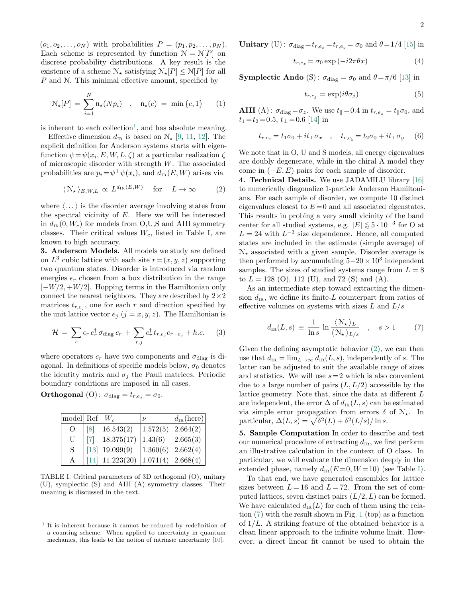$(o_1, o_2, \ldots, o_N)$  with probabilities  $P = (p_1, p_2, \ldots, p_N)$ . Each scheme is represented by function  $N = N[P]$  on discrete probability distributions. A key result is the existence of a scheme  $\mathcal{N}_{\star}$  satisfying  $\mathcal{N}_{\star}[P] \leq \mathcal{N}[P]$  for all P and N. This minimal effective amount, specified by

<span id="page-1-4"></span>
$$
\mathcal{N}_{\star}[P] = \sum_{i=1}^{N} \mathfrak{n}_{\star}(Np_i) \quad , \quad \mathfrak{n}_{\star}(c) = \min\{c, 1\} \qquad (1)
$$

is inherent to each collection<sup>[1](#page-1-0)</sup>, and has absolute meaning.

Effective dimension  $d_{IR}$  is based on  $\mathcal{N}_{\star}$  [\[9,](#page-3-9) [11,](#page-3-10) [12\]](#page-3-11). The explicit definition for Anderson systems starts with eigenfunction  $\psi = \psi(x_i, E, W, L, \zeta)$  at a particular realization  $\zeta$ of microscopic disorder with strength  $W$ . The associated probabilities are  $p_i = \psi^+ \psi(x_i)$ , and  $d_{\text{IR}}(E, W)$  arises via

<span id="page-1-1"></span>
$$
\langle \mathcal{N}_{\star} \rangle_{E, W, L} \propto L^{d_{\text{IR}}(E, W)} \quad \text{for} \quad L \to \infty \tag{2}
$$

where  $\langle \ldots \rangle$  is the disorder average involving states from the spectral vicinity of  $E$ . Here we will be interested in  $d_{IR}(0, W_c)$  for models from O,U,S and AIII symmetry classes. Their critical values  $W_c$ , listed in Table I, are known to high accuracy.

3. Anderson Models. All models we study are defined on  $L^3$  cubic lattice with each site  $r = (x, y, z)$  supporting two quantum states. Disorder is introduced via random energies  $\epsilon_r$  chosen from a box distribution in the range  $[-W/2, +W/2]$ . Hopping terms in the Hamiltonian only connect the nearest neighbors. They are described by  $2\times 2$ matrices  $t_{r,e_j}$ , one for each r and direction specified by the unit lattice vector  $e_j$   $(j = x, y, z)$ . The Hamiltonian is

$$
\mathcal{H} = \sum_{r} \epsilon_r c_r^{\dagger} \sigma_{\text{diag}} c_r + \sum_{r,j} c_r^{\dagger} t_{r,e_j} c_{r-e_j} + h.c. \quad (3)
$$

where operators  $c_r$  have two components and  $\sigma_{\text{diag}}$  is diagonal. In definitions of specific models below,  $\sigma_0$  denotes the identity matrix and  $\sigma_i$  the Pauli matrices. Periodic boundary conditions are imposed in all cases.

**Orthogonal** (O):  $\sigma_{\text{diag}} = t_{r,e_i} = \sigma_0$ .

| model Ref $\mid W_c \mid$ |                   |                                                               | $\overline{U}$ | $d_{IR}$ (here) |
|---------------------------|-------------------|---------------------------------------------------------------|----------------|-----------------|
| $\left( \right)$          | $\lceil 8 \rceil$ | 16.543(2)                                                     | 1.572(5)       | 2.664(2)        |
| U                         | $\lceil 7 \rceil$ | 18.375(17)                                                    | 1.43(6)        | 2.665(3)        |
| S                         |                   | $\left  \begin{array}{c} 13 \\ 19.099(9) \end{array} \right $ | 1.360(6)       | 2.662(4)        |
| A                         | [14]              | 11.223(20)                                                    | 1.071(4)       | 2.668(4)        |

<span id="page-1-2"></span>TABLE I. Critical parameters of 3D orthogonal (O), unitary (U), symplectic (S) and AIII (A) symmetry classes. Their meaning is discussed in the text.

**Unitary** (U): 
$$
\sigma_{\text{diag}} = t_{r,e_x} = t_{r,e_y} = \sigma_0
$$
 and  $\theta = 1/4$  [15] in

$$
t_{r,e_z} = \sigma_0 \exp\left(-i2\pi\theta x\right) \tag{4}
$$

**Symplectic Ando** (S):  $\sigma_{\text{diag}} = \sigma_0$  and  $\theta = \pi/6$  [\[13\]](#page-3-13) in

$$
t_{r,e_j} = \exp(i\theta\sigma_j) \tag{5}
$$

AIII (A):  $\sigma_{\text{diag}} = \sigma_z$ . We use  $t_{\parallel} = 0.4$  in  $t_{r,e_z} = t_{\parallel} \sigma_0$ , and  $t_1 = t_2 = 0.5, t_\perp = 0.6$  [\[14\]](#page-3-14) in

$$
t_{r,e_x} = t_1 \sigma_0 + i t_\perp \sigma_x \quad , \quad t_{r,e_y} = t_2 \sigma_0 + i t_\perp \sigma_y \quad (6)
$$

We note that in O, U and S models, all energy eigenvalues are doubly degenerate, while in the chiral A model they come in  $(-E, E)$  pairs for each sample of disorder.

4. Technical Details. We use JADAMILU library [\[16\]](#page-3-17) to numerically diagonalize 1-particle Anderson Hamiltonians. For each sample of disorder, we compute 10 distinct eigenvalues closest to  $E=0$  and all associated eigenstates. This results in probing a very small vicinity of the band center for all studied systems, e.g.  $|E| \lessapprox 5 \cdot 10^{-3}$  for O at  $L = 24$  with  $L^{-3}$  size dependence. Hence, all computed states are included in the estimate (simple average) of  $\mathcal{N}_{\star}$  associated with a given sample. Disorder average is then performed by accumulating  $5-20 \times 10^3$  independent samples. The sizes of studied systems range from  $L = 8$ to  $L = 128$  (O), 112 (U), and 72 (S) and (A).

As an intermediate step toward extracting the dimension  $d_{IR}$ , we define its finite-L counterpart from ratios of effective volumes on systems with sizes  $L$  and  $L/s$ 

<span id="page-1-3"></span>
$$
d_{\text{IR}}(L,s) \equiv \frac{1}{\ln s} \ln \frac{\langle \mathcal{N}_\star \rangle_L}{\langle \mathcal{N}_\star \rangle_{L/s}} \quad , \quad s > 1 \tag{7}
$$

Given the defining asymptotic behavior  $(2)$ , we can then use that  $d_{IR} = \lim_{L\to\infty} d_{IR}(L, s)$ , independently of s. The latter can be adjusted to suit the available range of sizes and statistics. We will use  $s=2$  which is also convenient due to a large number of pairs  $(L, L/2)$  accessible by the lattice geometry. Note that, since the data at different L are independent, the error  $\Delta$  of  $d_{IR}(L, s)$  can be estimated via simple error propagation from errors  $\delta$  of  $\mathcal{N}_{\star}$ . In particular,  $\Delta(L, s) = \sqrt{\delta^2(L) + \delta^2(L/s)} / \ln s$ .

5. Sample Computation In order to describe and test our numerical procedure of extracting  $d_{IR}$ , we first perform an illustrative calculation in the context of O class. In particular, we will evaluate the dimension deeply in the extended phase, namely  $d_{IR}(E=0, W=10)$  (see Table [I\)](#page-1-2).

To that end, we have generated ensembles for lattice sizes between  $L = 16$  and  $L = 72$ . From the set of computed lattices, seven distinct pairs  $(L/2, L)$  can be formed. We have calculated  $d_{IR}(L)$  for each of them using the relation [\(7\)](#page-1-3) with the result shown in Fig. [1](#page-2-0) (top) as a function of  $1/L$ . A striking feature of the obtained behavior is a clean linear approach to the infinite volume limit. However, a direct linear fit cannot be used to obtain the

<span id="page-1-0"></span><sup>&</sup>lt;sup>1</sup> It is inherent because it cannot be reduced by redefinition of a counting scheme. When applied to uncertainty in quantum mechanics, this leads to the notion of intrinsic uncertainty [\[10\]](#page-3-15).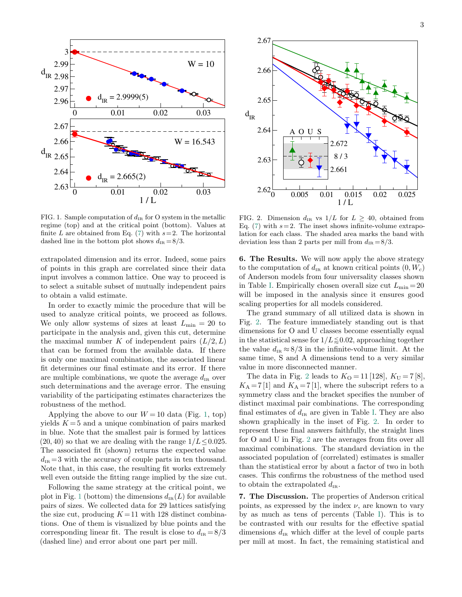

<span id="page-2-0"></span>FIG. 1. Sample computation of  $d_{IR}$  for O system in the metallic regime (top) and at the critical point (bottom). Values at finite L are obtained from Eq. [\(7\)](#page-1-3) with  $s=2$ . The horizontal dashed line in the bottom plot shows  $d_{IR} = 8/3$ .

extrapolated dimension and its error. Indeed, some pairs of points in this graph are correlated since their data input involves a common lattice. One way to proceed is to select a suitable subset of mutually independent pairs to obtain a valid estimate.

In order to exactly mimic the procedure that will be used to analyze critical points, we proceed as follows. We only allow systems of sizes at least  $L_{\min} = 20$  to participate in the analysis and, given this cut, determine the maximal number K of independent pairs  $(L/2, L)$ that can be formed from the available data. If there is only one maximal combination, the associated linear fit determines our final estimate and its error. If there are multiple combinations, we quote the average  $d_{IR}$  over such determinations and the average error. The ensuing variability of the participating estimates characterizes the robustness of the method.

Applying the above to our  $W = 10$  data (Fig. [1,](#page-2-0) top) yields  $K = 5$  and a unique combination of pairs marked in blue. Note that the smallest pair is formed by lattices  $(20, 40)$  so that we are dealing with the range  $1/L \leq 0.025$ . The associated fit (shown) returns the expected value  $d_{IR} = 3$  with the accuracy of couple parts in ten thousand. Note that, in this case, the resulting fit works extremely well even outside the fitting range implied by the size cut.

Following the same strategy at the critical point, we plot in Fig. [1](#page-2-0) (bottom) the dimensions  $d_{IR}(L)$  for available pairs of sizes. We collected data for 29 lattices satisfying the size cut, producing  $K = 11$  with 128 distinct combinations. One of them is visualized by blue points and the corresponding linear fit. The result is close to  $d_{IR} = 8/3$ (dashed line) and error about one part per mill.



<span id="page-2-1"></span>FIG. 2. Dimension  $d_{IR}$  vs  $1/L$  for  $L \geq 40$ , obtained from Eq. [\(7\)](#page-1-3) with  $s = 2$ . The inset shows infinite-volume extrapolation for each class. The shaded area marks the band with deviation less than 2 parts per mill from  $d_{IR} = 8/3$ .

6. The Results. We will now apply the above strategy to the computation of  $d_{IR}$  at known critical points  $(0, W_c)$ of Anderson models from four universality classes shown in Table [I.](#page-1-2) Empirically chosen overall size cut  $L_{\text{min}} = 20$ will be imposed in the analysis since it ensures good scaling properties for all models considered.

The grand summary of all utilized data is shown in Fig. [2.](#page-2-1) The feature immediately standing out is that dimensions for O and U classes become essentially equal in the statistical sense for  $1/L \leq 0.02$ , approaching together the value  $d_{IR} \approx 8/3$  in the infinite-volume limit. At the same time, S and A dimensions tend to a very similar value in more disconnected manner.

The data in Fig. [2](#page-2-1) leads to  $K_0 = 11$  [128],  $K_U = 7$  [8],  $K_A = 7$  [1] and  $K_A = 7$  [1], where the subscript refers to a symmetry class and the bracket specifies the number of distinct maximal pair combinations. The corresponding final estimates of  $d_{IR}$  are given in Table [I.](#page-1-2) They are also shown graphically in the inset of Fig. [2.](#page-2-1) In order to represent these final answers faithfully, the straight lines for O and U in Fig. [2](#page-2-1) are the averages from fits over all maximal combinations. The standard deviation in the associated population of (correlated) estimates is smaller than the statistical error by about a factor of two in both cases. This confirms the robustness of the method used to obtain the extrapolated  $d_{IR}$ .

7. The Discussion. The properties of Anderson critical points, as expressed by the index  $\nu$ , are known to vary by as much as tens of percents (Table [I\)](#page-1-2). This is to be contrasted with our results for the effective spatial dimensions  $d_{IR}$  which differ at the level of couple parts per mill at most. In fact, the remaining statistical and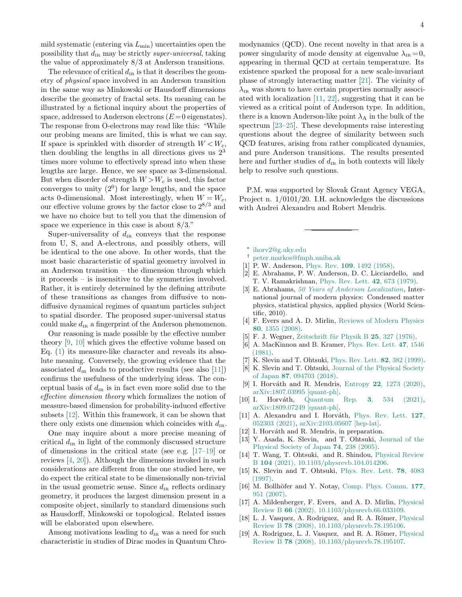mild systematic (entering via  $L_{\text{min}}$ ) uncertainties open the possibility that  $d_{IR}$  may be strictly super-universal, taking the value of approximately 8/3 at Anderson transitions.

The relevance of critical  $d_{IR}$  is that it describes the geometry of physical space involved in an Anderson transition in the same way as Minkowski or Hausdorff dimensions describe the geometry of fractal sets. Its meaning can be illustrated by a fictional inquiry about the properties of space, addressed to Anderson electrons  $(E=0$  eigenstates). The response from O-electrons may read like this: "While our probing means are limited, this is what we can say. If space is sprinkled with disorder of strength  $W < W_c$ , then doubling the lengths in all directions gives us  $2<sup>3</sup>$ times more volume to effectively spread into when these lengths are large. Hence, we see space as 3-dimensional. But when disorder of strength  $W > W_c$  is used, this factor converges to unity  $(2^0)$  for large lengths, and the space acts 0-dimensional. Most interestingly, when  $W = W_c$ , our effective volume grows by the factor close to  $2^{8/3}$  and we have no choice but to tell you that the dimension of space we experience in this case is about 8/3."

Super-universality of  $d_{IR}$  conveys that the response from U, S, and A-electrons, and possibly others, will be identical to the one above. In other words, that the most basic characteristic of spatial geometry involved in an Anderson transition – the dimension through which it proceeds – is insensitive to the symmetries involved. Rather, it is entirely determined by the defining attribute of these transitions as changes from diffusive to nondiffusive dynamical regimes of quantum particles subject to spatial disorder. The proposed super-universal status could make  $d_{IR}$  a fingerprint of the Anderson phenomenon.

Our reasoning is made possible by the effective number theory [\[9,](#page-3-9) [10\]](#page-3-15) which gives the effective volume based on Eq. [\(1\)](#page-1-4) its measure-like character and reveals its absolute meaning. Conversely, the growing evidence that the associated  $d_{IR}$  leads to productive results (see also [\[11\]](#page-3-10)) confirms the usefulness of the underlying ideas. The conceptual basis of  $d_{IR}$  is in fact even more solid due to the effective dimension theory which formalizes the notion of measure-based dimension for probability-induced effective subsets [\[12\]](#page-3-11). Within this framework, it can be shown that there only exists one dimension which coincides with  $d_{IR}$ .

One may inquire about a more precise meaning of critical  $d_{IR}$  in light of the commonly discussed structure of dimensions in the critical state (see e.g. [\[17–](#page-3-18)[19\]](#page-3-19) or reviews [\[4,](#page-3-5) [20\]](#page-4-0)). Although the dimensions invoked in such considerations are different from the one studied here, we do expect the critical state to be dimensionally non-trivial in the usual geometric sense. Since  $d_{IR}$  reflects ordinary geometry, it produces the largest dimension present in a composite object, similarly to standard dimensions such as Hausdorff, Minkowski or topological. Related issues will be elaborated upon elsewhere.

Among motivations leading to  $d_{IR}$  was a need for such characteristic in studies of Dirac modes in Quantum Chro-

modynamics (QCD). One recent novelty in that area is a power singularity of mode density at eigenvalue  $\lambda_{IR} = 0$ , appearing in thermal QCD at certain temperature. Its existence sparked the proposal for a new scale-invariant phase of strongly interacting matter [\[21\]](#page-4-1). The vicinity of  $\lambda_{IR}$  was shown to have certain properties normally associated with localization [\[11,](#page-3-10) [22\]](#page-4-2), suggesting that it can be viewed as a critical point of Anderson type. In addition, there is a known Anderson-like point  $\lambda_A$  in the bulk of the spectrum [\[23](#page-4-3)[–25\]](#page-4-4). These developments raise interesting questions about the degree of similarity between such QCD features, arising from rather complicated dynamics, and pure Anderson transitions. The results presented here and further studies of  $d_{IR}$  in both contexts will likely help to resolve such questions.

P.M. was supported by Slovak Grant Agency VEGA, Project n. 1/0101/20. I.H. acknowledges the discussions with Andrei Alexandru and Robert Mendris.

- <span id="page-3-0"></span>∗ [ihorv2@g.uky.edu](mailto:ihorv2@g.uky.edu)
- <span id="page-3-1"></span>† [peter.markos@fmph.uniba.sk](mailto:peter.markos@fmph.uniba.sk)
- <span id="page-3-2"></span>[1] P. W. Anderson, Phys. Rev. 109[, 1492 \(1958\).](http://dx.doi.org/10.1103/PhysRev.109.1492)
- <span id="page-3-3"></span>[2] E. Abrahams, P. W. Anderson, D. C. Licciardello, and T. V. Ramakrishnan, [Phys. Rev. Lett.](http://dx.doi.org/10.1103/PhysRevLett.42.673) 42, 673 (1979).
- <span id="page-3-4"></span>[3] E. Abrahams, [50 Years of Anderson Localization](https://books.google.com/books?id=_KoSwxcw7WQC), International journal of modern physics: Condensed matter physics, statistical physics, applied physics (World Scientific, 2010).
- <span id="page-3-5"></span>[4] F. Evers and A. D. Mirlin, [Reviews of Modern Physics](http://dx.doi.org/10.1103/revmodphys.80.1355) 80[, 1355 \(2008\).](http://dx.doi.org/10.1103/revmodphys.80.1355)
- <span id="page-3-6"></span>[5] F. J. Wegner, Zeitschrift für Physik B 25, 327 (1976).
- <span id="page-3-7"></span>[6] A. MacKinnon and B. Kramer, [Phys. Rev. Lett.](http://dx.doi.org/10.1103/PhysRevLett.47.1546) 47, 1546 [\(1981\).](http://dx.doi.org/10.1103/PhysRevLett.47.1546)
- <span id="page-3-12"></span>[7] K. Slevin and T. Ohtsuki, [Phys. Rev. Lett.](http://dx.doi.org/10.1103/PhysRevLett.82.382) 82, 382 (1999).
- <span id="page-3-8"></span>[8] K. Slevin and T. Ohtsuki, [Journal of the Physical Society](http://dx.doi.org/10.7566/jpsj.87.094703) of Japan 87[, 094703 \(2018\).](http://dx.doi.org/10.7566/jpsj.87.094703)
- <span id="page-3-9"></span>[9] I. Horváth and R. Mendris, Entropy 22[, 1273 \(2020\),](http://dx.doi.org/10.3390/e22111273) [arXiv:1807.03995 \[quant-ph\].](http://arxiv.org/abs/1807.03995)
- <span id="page-3-15"></span>[10] I. Horváth, [Quantum Rep.](http://dx.doi.org/10.3390/quantum3030035) 3, 534 (2021), [arXiv:1809.07249 \[quant-ph\].](http://arxiv.org/abs/1809.07249)
- <span id="page-3-10"></span>[11] A. Alexandru and I. Horváth, [Phys. Rev. Lett.](http://dx.doi.org/10.1103/PhysRevLett.127.052303) 127, [052303 \(2021\),](http://dx.doi.org/10.1103/PhysRevLett.127.052303) [arXiv:2103.05607 \[hep-lat\].](http://arxiv.org/abs/2103.05607)
- <span id="page-3-11"></span>[12] I. Horváth and R. Mendris, in preparation.
- <span id="page-3-13"></span>[13] Y. Asada, K. Slevin, and T. Ohtsuki, [Journal of the](http://dx.doi.org/10.1143/jpsjs.74s.238) [Physical Society of Japan](http://dx.doi.org/10.1143/jpsjs.74s.238) 74, 238 (2005).
- <span id="page-3-14"></span>[14] T. Wang, T. Ohtsuki, and R. Shindou, [Physical Review](http://dx.doi.org/10.1103/physrevb.104.014206) B 104 [\(2021\), 10.1103/physrevb.104.014206.](http://dx.doi.org/10.1103/physrevb.104.014206)
- <span id="page-3-16"></span>[15] K. Slevin and T. Ohtsuki, [Phys. Rev. Lett.](http://dx.doi.org/10.1103/PhysRevLett.78.4083) 78, 4083 [\(1997\).](http://dx.doi.org/10.1103/PhysRevLett.78.4083)
- <span id="page-3-17"></span>[16] M. Bollhöfer and Y. Notay, [Comp. Phys. Comm.](http://dx.doi.org/10.1103/RevModPhys.70.653) 177, [951 \(2007\).](http://dx.doi.org/10.1103/RevModPhys.70.653)
- <span id="page-3-18"></span>[17] A. Mildenberger, F. Evers, and A. D. Mirlin, [Physical](http://dx.doi.org/10.1103/physrevb.66.033109) Review B 66 [\(2002\), 10.1103/physrevb.66.033109.](http://dx.doi.org/10.1103/physrevb.66.033109)
- [18] L. J. Vasquez, A. Rodriguez, and R. A. Römer, [Physical](http://dx.doi.org/10.1103/physrevb.78.195106) Review B 78 [\(2008\), 10.1103/physrevb.78.195106.](http://dx.doi.org/10.1103/physrevb.78.195106)
- <span id="page-3-19"></span>[19] A. Rodriguez, L. J. Vasquez, and R. A. Römer, [Physical](http://dx.doi.org/10.1103/physrevb.78.195107) Review B 78 [\(2008\), 10.1103/physrevb.78.195107.](http://dx.doi.org/10.1103/physrevb.78.195107)